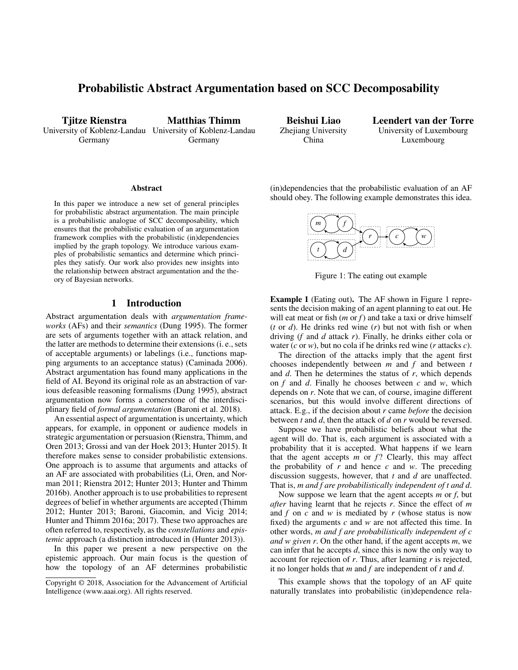# Probabilistic Abstract Argumentation based on SCC Decomposability

Tjitze Rienstra University of Koblenz-Landau University of Koblenz-Landau Germany

Matthias Thimm Germany

Beishui Liao Zhejiang University China

Leendert van der Torre University of Luxembourg Luxembourg

#### Abstract

In this paper we introduce a new set of general principles for probabilistic abstract argumentation. The main principle is a probabilistic analogue of SCC decomposability, which ensures that the probabilistic evaluation of an argumentation framework complies with the probabilistic (in)dependencies implied by the graph topology. We introduce various examples of probabilistic semantics and determine which principles they satisfy. Our work also provides new insights into the relationship between abstract argumentation and the theory of Bayesian networks.

# 1 Introduction

Abstract argumentation deals with *argumentation frameworks* (AFs) and their *semantics* (Dung 1995). The former are sets of arguments together with an attack relation, and the latter are methods to determine their extensions (i. e., sets of acceptable arguments) or labelings (i.e., functions mapping arguments to an acceptance status) (Caminada 2006). Abstract argumentation has found many applications in the field of AI. Beyond its original role as an abstraction of various defeasible reasoning formalisms (Dung 1995), abstract argumentation now forms a cornerstone of the interdisciplinary field of *formal argumentation* (Baroni et al. 2018).

An essential aspect of argumentation is uncertainty, which appears, for example, in opponent or audience models in strategic argumentation or persuasion (Rienstra, Thimm, and Oren 2013; Grossi and van der Hoek 2013; Hunter 2015). It therefore makes sense to consider probabilistic extensions. One approach is to assume that arguments and attacks of an AF are associated with probabilities (Li, Oren, and Norman 2011; Rienstra 2012; Hunter 2013; Hunter and Thimm 2016b). Another approach is to use probabilities to represent degrees of belief in whether arguments are accepted (Thimm 2012; Hunter 2013; Baroni, Giacomin, and Vicig 2014; Hunter and Thimm 2016a; 2017). These two approaches are often referred to, respectively, as the *constellations* and *epistemic* approach (a distinction introduced in (Hunter 2013)).

In this paper we present a new perspective on the epistemic approach. Our main focus is the question of how the topology of an AF determines probabilistic

(in)dependencies that the probabilistic evaluation of an AF should obey. The following example demonstrates this idea.



Figure 1: The eating out example

Example 1 (Eating out). The AF shown in Figure 1 represents the decision making of an agent planning to eat out. He will eat meat or fish (*m* or *f*) and take a taxi or drive himself (*t* or *d*). He drinks red wine (*r*) but not with fish or when driving (*f* and *d* attack *r*). Finally, he drinks either cola or water (*c* or *w*), but no cola if he drinks red wine (*r* attacks *c*).

The direction of the attacks imply that the agent first chooses independently between *m* and *f* and between *t* and *d*. Then he determines the status of *r*, which depends on *f* and *d*. Finally he chooses between *c* and *w*, which depends on *r*. Note that we can, of course, imagine different scenarios, but this would involve different directions of attack. E.g., if the decision about *r* came *before* the decision between *t* and *d*, then the attack of *d* on *r* would be reversed.

Suppose we have probabilistic beliefs about what the agent will do. That is, each argument is associated with a probability that it is accepted. What happens if we learn that the agent accepts  $m$  or  $f$ ? Clearly, this may affect the probability of *r* and hence *c* and *w*. The preceding discussion suggests, however, that *t* and *d* are unaffected. That is, *m and f are probabilistically independent of t and d*.

Now suppose we learn that the agent accepts *m* or *f*, but *after* having learnt that he rejects *r*. Since the effect of *m* and *f* on *c* and *w* is mediated by *r* (whose status is now fixed) the arguments *c* and *w* are not affected this time. In other words, *m and f are probabilistically independent of c and w given r*. On the other hand, if the agent accepts *m*, we can infer that he accepts *d*, since this is now the only way to account for rejection of *r*. Thus, after learning *r* is rejected, it no longer holds that *m* and *f* are independent of *t* and *d*.

This example shows that the topology of an AF quite naturally translates into probabilistic (in)dependence rela-

Copyright © 2018, Association for the Advancement of Artificial Intelligence (www.aaai.org). All rights reserved.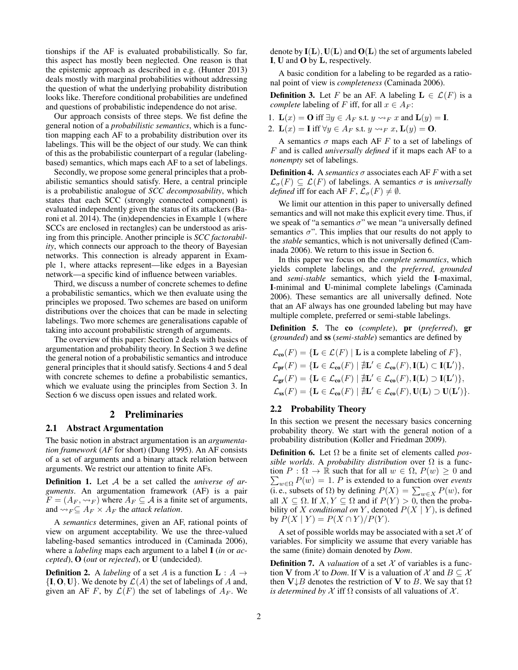tionships if the AF is evaluated probabilistically. So far, this aspect has mostly been neglected. One reason is that the epistemic approach as described in e.g. (Hunter 2013) deals mostly with marginal probabilities without addressing the question of what the underlying probability distribution looks like. Therefore conditional probabilities are undefined and questions of probabilistic independence do not arise.

Our approach consists of three steps. We fist define the general notion of a *probabilistic semantics*, which is a function mapping each AF to a probability distribution over its labelings. This will be the object of our study. We can think of this as the probabilistic counterpart of a regular (labelingbased) semantics, which maps each AF to a set of labelings.

Secondly, we propose some general principles that a probabilistic semantics should satisfy. Here, a central principle is a probabilistic analogue of *SCC decomposability*, which states that each SCC (strongly connected component) is evaluated independently given the status of its attackers (Baroni et al. 2014). The (in)dependencies in Example 1 (where SCCs are enclosed in rectangles) can be understood as arising from this principle. Another principle is *SCC factorability*, which connects our approach to the theory of Bayesian networks. This connection is already apparent in Example 1, where attacks represent—like edges in a Bayesian network—a specific kind of influence between variables.

Third, we discuss a number of concrete schemes to define a probabilistic semantics, which we then evaluate using the principles we proposed. Two schemes are based on uniform distributions over the choices that can be made in selecting labelings. Two more schemes are generalisations capable of taking into account probabilistic strength of arguments.

The overview of this paper: Section 2 deals with basics of argumentation and probability theory. In Section 3 we define the general notion of a probabilistic semantics and introduce general principles that it should satisfy. Sections 4 and 5 deal with concrete schemes to define a probabilistic semantics, which we evaluate using the principles from Section 3. In Section 6 we discuss open issues and related work.

# 2 Preliminaries

## 2.1 Abstract Argumentation

The basic notion in abstract argumentation is an *argumentation framework* (*AF* for short) (Dung 1995). An AF consists of a set of arguments and a binary attack relation between arguments. We restrict our attention to finite AFs.

Definition 1. Let A be a set called the *universe of arguments*. An argumentation framework (AF) is a pair  $F = (A_F, \leadsto_F)$  where  $A_F \subseteq \mathcal{A}$  is a finite set of arguments, and  $\rightsquigarrow_F \subseteq A_F \times A_F$  the *attack relation*.

A *semantics* determines, given an AF, rational points of view on argument acceptability. We use the three-valued labeling-based semantics introduced in (Caminada 2006), where a *labeling* maps each argument to a label I (*in* or *accepted*), O (*out* or *rejected*), or U (undecided).

**Definition 2.** A *labeling* of a set A is a function  $L : A \rightarrow$  $\{I, O, U\}$ . We denote by  $\mathcal{L}(A)$  the set of labelings of A and, given an AF F, by  $\mathcal{L}(F)$  the set of labelings of  $A_F$ . We denote by  $I(L)$ ,  $U(L)$  and  $O(L)$  the set of arguments labeled I, U and O by L, respectively.

A basic condition for a labeling to be regarded as a rational point of view is *completeness* (Caminada 2006).

**Definition 3.** Let F be an AF. A labeling  $L \in \mathcal{L}(F)$  is a *complete* labeling of F iff, for all  $x \in A_F$ :

1.  $\mathbf{L}(x) = \mathbf{O}$  iff  $\exists y \in A_F$  s.t.  $y \rightarrow_F x$  and  $\mathbf{L}(y) = \mathbf{I}$ .

2.  $\mathbf{L}(x) = \mathbf{I}$  iff  $\forall y \in A_F$  s.t.  $y \rightsquigarrow_F x$ ,  $\mathbf{L}(y) = \mathbf{O}$ .

A semantics  $\sigma$  maps each AF F to a set of labelings of F and is called *universally defined* if it maps each AF to a *nonempty* set of labelings.

**Definition 4.** A *semantics*  $\sigma$  associates each AF F with a set  $\mathcal{L}_{\sigma}(F) \subseteq \mathcal{L}(F)$  of labelings. A semantics  $\sigma$  is *universally defined* iff for each AF F,  $\mathcal{L}_{\sigma}(F) \neq \emptyset$ .

We limit our attention in this paper to universally defined semantics and will not make this explicit every time. Thus, if we speak of "a semantics  $\sigma$ " we mean "a universally defined semantics  $\sigma$ ". This implies that our results do not apply to the *stable* semantics, which is not universally defined (Caminada 2006). We return to this issue in Section 6.

In this paper we focus on the *complete semantics*, which yields complete labelings, and the *preferred*, *grounded* and *semi-stable* semantics, which yield the I-maximal, I-minimal and U-minimal complete labelings (Caminada 2006). These semantics are all universally defined. Note that an AF always has one grounded labeling but may have multiple complete, preferred or semi-stable labelings.

Definition 5. The co (*complete*), pr (*preferred*), gr (*grounded*) and ss (*semi-stable*) semantics are defined by

$$
\mathcal{L}_{\text{co}}(F) = \{ \mathbf{L} \in \mathcal{L}(F) \mid \mathbf{L} \text{ is a complete labeling of } F \},
$$
  
\n
$$
\mathcal{L}_{\text{pr}}(F) = \{ \mathbf{L} \in \mathcal{L}_{\text{co}}(F) \mid \nexists \mathbf{L}' \in \mathcal{L}_{\text{co}}(F), \mathbf{I}(\mathbf{L}) \subset \mathbf{I}(\mathbf{L}') \},
$$
  
\n
$$
\mathcal{L}_{\text{gr}}(F) = \{ \mathbf{L} \in \mathcal{L}_{\text{co}}(F) \mid \nexists \mathbf{L}' \in \mathcal{L}_{\text{co}}(F), \mathbf{I}(\mathbf{L}) \supset \mathbf{I}(\mathbf{L}') \},
$$
  
\n
$$
\mathcal{L}_{\text{ss}}(F) = \{ \mathbf{L} \in \mathcal{L}_{\text{co}}(F) \mid \nexists \mathbf{L}' \in \mathcal{L}_{\text{co}}(F), \mathbf{U}(\mathbf{L}) \supset \mathbf{U}(\mathbf{L}') \}.
$$

# 2.2 Probability Theory

In this section we present the necessary basics concerning probability theory. We start with the general notion of a probability distribution (Koller and Friedman 2009).

Definition 6. Let Ω be a finite set of elements called *possible worlds*. A *probability distribution* over Ω is a func- $\sum_{w \in \Omega} P(w) = 1$ . *P* is extended to a function over *events* tion  $P : \Omega \to \mathbb{R}$  such that for all  $w \in \Omega$ ,  $P(w) \geq 0$  and (i. e., subsets of  $\Omega$ ) by defining  $P(X) = \sum_{w \in X} P(w)$ , for all  $X \subseteq \Omega$ . If  $X, Y \subseteq \Omega$  and if  $P(Y) > 0$ , then the probability of X *conditional on* Y, denoted  $P(X | Y)$ , is defined by  $P(X | Y) = P(X \cap Y)/P(Y)$ .

A set of possible worlds may be associated with a set  $\mathcal X$  of variables. For simplicity we assume that every variable has the same (finite) domain denoted by *Dom*.

**Definition 7.** A *valuation* of a set  $X$  of variables is a function V from  $\mathcal X$  to *Dom*. If V is a valuation of  $\mathcal X$  and  $B \subseteq \mathcal X$ then  $V \downarrow B$  denotes the restriction of V to B. We say that  $\Omega$ *is determined by*  $X$  iff  $\Omega$  consists of all valuations of  $X$ .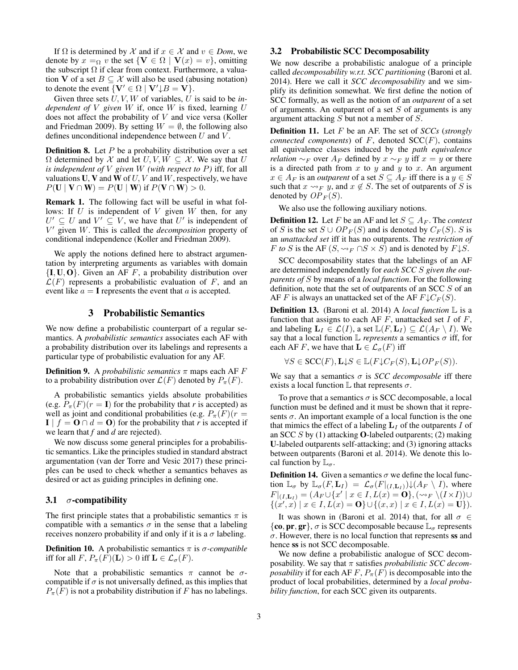If  $\Omega$  is determined by X and if  $x \in X$  and  $v \in Dom$ , we denote by  $x =_{\Omega} v$  the set  $\{V \in \Omega \mid V(x) = v\}$ , omitting the subscript  $\Omega$  if clear from context. Furthermore, a valuation V of a set  $B \subseteq \mathcal{X}$  will also be used (abusing notation) to denote the event  $\{V' \in \Omega \mid V' \downarrow B = V\}.$ 

Given three sets U, V, W of variables, U is said to be *independent of* V *given* W if, once W is fixed, learning U does not affect the probability of V and vice versa (Koller and Friedman 2009). By setting  $W = \emptyset$ , the following also defines unconditional independence between  $U$  and  $V$ .

**Definition 8.** Let  $P$  be a probability distribution over a set  $\Omega$  determined by X and let  $U, V, W \subseteq X$ . We say that U *is independent of* V *given* W *(with respect to* P*)* iff, for all valuations U, V and W of  $U, V$  and W, respectively, we have  $P(\mathbf{U} \mid \mathbf{V} \cap \mathbf{W}) = P(\mathbf{U} \mid \mathbf{W})$  if  $P(\mathbf{V} \cap \mathbf{W}) > 0$ .

Remark 1. The following fact will be useful in what follows: If  $U$  is independent of  $V$  given  $W$  then, for any  $U' \subseteq U$  and  $V' \subseteq V$ , we have that U' is independent of V <sup>0</sup> given W. This is called the *decomposition* property of conditional independence (Koller and Friedman 2009).

We apply the notions defined here to abstract argumentation by interpreting arguments as variables with domain  ${I, U, O}$ . Given an AF F, a probability distribution over  $\mathcal{L}(F)$  represents a probabilistic evaluation of F, and an event like  $a = I$  represents the event that a is accepted.

# 3 Probabilistic Semantics

We now define a probabilistic counterpart of a regular semantics. A *probabilistic semantics* associates each AF with a probability distribution over its labelings and represents a particular type of probabilistic evaluation for any AF.

**Definition 9.** A *probabilistic semantics*  $\pi$  maps each AF  $F$ to a probability distribution over  $\mathcal{L}(F)$  denoted by  $P_{\pi}(F)$ .

A probabilistic semantics yields absolute probabilities (e.g.  $P_{\pi}(F)(r = I)$  for the probability that *r* is accepted) as well as joint and conditional probabilities (e.g.  $P_{\pi}(F)(r =$  $\mathbf{I} \mid f = \mathbf{O} \cap d = \mathbf{O}$  for the probability that *r* is accepted if we learn that *f* and *d* are rejected).

We now discuss some general principles for a probabilistic semantics. Like the principles studied in standard abstract argumentation (van der Torre and Vesic 2017) these principles can be used to check whether a semantics behaves as desired or act as guiding principles in defining one.

#### 3.1  $\sigma$ -compatibility

The first principle states that a probabilistic semantics  $\pi$  is compatible with a semantics  $\sigma$  in the sense that a labeling receives nonzero probability if and only if it is a  $\sigma$  labeling.

**Definition 10.** A probabilistic semantics  $\pi$  is  $\sigma$ -compatible iff for all  $F$ ,  $P_{\pi}(F)(\mathbf{L}) > 0$  iff  $\mathbf{L} \in \mathcal{L}_{\sigma}(F)$ .

Note that a probabilistic semantics  $\pi$  cannot be  $\sigma$ compatible if  $\sigma$  is not universally defined, as this implies that  $P_{\pi}(F)$  is not a probability distribution if F has no labelings.

# 3.2 Probabilistic SCC Decomposability

We now describe a probabilistic analogue of a principle called *decomposability w.r.t. SCC partitioning* (Baroni et al. 2014). Here we call it *SCC decomposability* and we simplify its definition somewhat. We first define the notion of SCC formally, as well as the notion of an *outparent* of a set of arguments. An outparent of a set  $S$  of arguments is any argument attacking S but not a member of S.

Definition 11. Let F be an AF. The set of *SCCs* (*strongly connected components*) of  $F$ , denoted  $SCC(F)$ , contains all equivalence classes induced by the *path equivalence relation* ∼<sub>F</sub> over  $A_F$  defined by  $x \sim_F y$  iff  $x = y$  or there is a directed path from  $x$  to  $y$  and  $y$  to  $x$ . An argument  $x \in A_F$  is an *outparent* of a set  $S \subseteq A_F$  iff there is a  $y \in S$ such that  $x \rightarrow_F y$ , and  $x \notin S$ . The set of outparents of S is denoted by  $OP<sub>F</sub>(S)$ .

We also use the following auxiliary notions.

**Definition 12.** Let F be an AF and let  $S \subseteq A_F$ . The *context* of S is the set  $S \cup OP_F(S)$  and is denoted by  $C_F(S)$ . S is an *unattacked set* iff it has no outparents. The *restriction of F to S* is the AF  $(S, \rightsquigarrow_F \bigcap S \times S)$  and is denoted by  $F \downarrow S$ .

SCC decomposability states that the labelings of an AF are determined independently for *each SCC* S *given the outparents of* S by means of a *local function*. For the following definition, note that the set of outparents of an SCC S of an AF F is always an unattacked set of the AF  $F\downarrow C_F(S)$ .

Definition 13. (Baroni et al. 2014) A *local function* L is a function that assigns to each AF  $F$ , unattacked set  $I$  of  $F$ , and labeling  $\mathbf{L}_I \in \mathcal{L}(I)$ , a set  $\mathbb{L}(F, \mathbf{L}_I) \subseteq \mathcal{L}(A_F \setminus I)$ . We say that a local function  $\mathbb L$  *represents* a semantics  $\sigma$  iff, for each AF F, we have that  $\mathbf{L} \in \mathcal{L}_{\sigma}(F)$  iff

$$
\forall S \in \mathsf{SCC}(F), \mathbf{L} \downarrow S \in \mathbb{L}(F \downarrow C_F(S), \mathbf{L} \downarrow OP_F(S)).
$$

We say that a semantics  $\sigma$  is *SCC decomposable* iff there exists a local function  $\mathbb L$  that represents  $\sigma$ .

To prove that a semantics  $\sigma$  is SCC decomposable, a local function must be defined and it must be shown that it represents  $\sigma$ . An important example of a local function is the one that mimics the effect of a labeling  $L_I$  of the outparents I of an SCC S by  $(1)$  attacking **O**-labeled outparents;  $(2)$  making U-labeled outparents self-attacking; and (3) ignoring attacks between outparents (Baroni et al. 2014). We denote this local function by  $\mathbb{L}_{\sigma}$ .

**Definition 14.** Given a semantics  $\sigma$  we define the local function  $\mathbb{L}_{\sigma}$  by  $\mathbb{L}_{\sigma}(F, \mathbf{L}_I) = \mathcal{L}_{\sigma}(F|_{(I, \mathbf{L}_I)}) \downarrow (A_F \setminus I)$ , where  $F|_{(I,\mathbf{L}_I)}=(A_F\cup\{x'\mid x\in I,L(x)=\mathbf{0}\},(\leadsto_F\backslash(I\times I))\cup$  $\{(x',x) \mid x \in I, L(x) = \mathbf{O}\} \cup \{(x,x) \mid x \in I, L(x) = \mathbf{U}\}).$ 

It was shown in (Baroni et al. 2014) that, for all  $\sigma \in$ {co, pr, gr},  $\sigma$  is SCC decomposable because  $\mathbb{L}_{\sigma}$  represents  $\sigma$ . However, there is no local function that represents ss and hence ss is not SCC decomposable.

We now define a probabilistic analogue of SCC decomposability. We say that π satisfies *probabilistic SCC decomposability* if for each AF F,  $P_{\pi}(F)$  is decomposable into the product of local probabilities, determined by a *local probability function*, for each SCC given its outparents.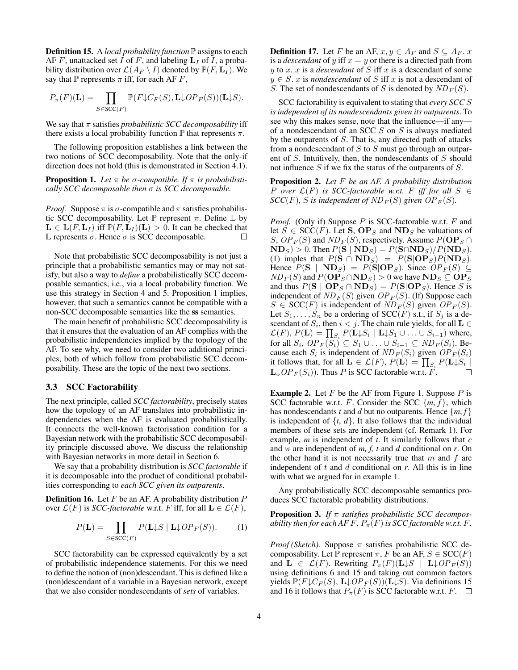Definition 15. A *local probability function* P assigns to each AF F, unattacked set I of F, and labeling  $L_I$  of I, a probability distribution over  $\mathcal{L}(A_F \setminus I)$  denoted by  $\mathbb{P}(F, L_I)$ . We say that  $\mathbb P$  represents  $\pi$  iff, for each AF F,

$$
P_{\pi}(F)(\mathbf{L}) = \prod_{S \in \mathrm{SCC}(F)} \mathbb{P}(F \downarrow C_F(S), \mathbf{L} \downarrow OP_F(S))(\mathbf{L} \downarrow S).
$$

We say that  $\pi$  satisfies *probabilistic SCC decomposability* iff there exists a local probability function  $\mathbb P$  that represents  $\pi$ .

The following proposition establishes a link between the two notions of SCC decomposability. Note that the only-if direction does not hold (this is demonstrated in Section 4.1).

**Proposition 1.** Let  $\pi$  be  $\sigma$ -compatible. If  $\pi$  is probabilisti*cally SCC decomposable then* σ *is SCC decomposable.*

*Proof.* Suppose  $\pi$  is  $\sigma$ -compatible and  $\pi$  satisfies probabilistic SCC decomposability. Let  $\mathbb P$  represent  $\pi$ . Define  $\mathbb L$  by  $\mathbf{L} \in \mathbb{L}(F, \mathbf{L}_I)$  iff  $\mathbb{P}(F, \mathbf{L}_I)(\mathbf{L}) > 0$ . It can be checked that L represents  $\sigma$ . Hence  $\sigma$  is SCC decomposable.  $\Box$ 

Note that probabilistic SCC decomposability is not just a principle that a probabilistic semantics may or may not satisfy, but also a way to *define* a probabilistically SCC decomposable semantics, i.e., via a local probability function. We use this strategy in Section 4 and 5. Proposition 1 implies, however, that such a semantics cannot be compatible with a non-SCC decomposable semantics like the ss semantics.

The main benefit of probabilistic SCC decomposability is that it ensures that the evaluation of an AF complies with the probabilistic independencies implied by the topology of the AF. To see why, we need to consider two additional principles, both of which follow from probabilistic SCC decomposability. These are the topic of the next two sections.

#### 3.3 SCC Factorability

The next principle, called *SCC factorability*, precisely states how the topology of an AF translates into probabilistic independencies when the AF is evaluated probabilistically. It connects the well-known factorisation condition for a Bayesian network with the probabilistic SCC decomposability principle discussed above. We discuss the relationship with Bayesian networks in more detail in Section 6.

We say that a probability distribution is *SCC factorable* if it is decomposable into the product of conditional probabilities corresponding to *each SCC given its outparents*.

**Definition 16.** Let  $F$  be an AF. A probability distribution  $P$ over  $\mathcal{L}(F)$  is *SCC-factorable* w.r.t. F iff, for all  $\mathbf{L} \in \mathcal{L}(F)$ ,

$$
P(\mathbf{L}) = \prod_{S \in \text{SCC}(F)} P(\mathbf{L} \downarrow S \mid \mathbf{L} \downarrow OP_F(S)). \tag{1}
$$

SCC factorability can be expressed equivalently by a set of probabilistic independence statements. For this we need to define the notion of (non)descendant. This is defined like a (non)descendant of a variable in a Bayesian network, except that we also consider nondescendants of *sets* of variables.

**Definition 17.** Let F be an AF,  $x, y \in A_F$  and  $S \subseteq A_F$ . x is a *descendant* of y iff  $x = y$  or there is a directed path from  $y$  to  $x$ .  $x$  is a *descendant* of  $S$  iff  $x$  is a descendant of some  $y \in S$ . x is *nondescendant* of S iff x is not a descendant of S. The set of nondescendants of S is denoted by  $ND_F(S)$ .

SCC factorability is equivalent to stating that *every SCC* S *is independent of its nondescendants given its outparents*. To see why this makes sense, note that the influence—if any of a nondescendant of an SCC S on S is always mediated by the outparents of S. That is, any directed path of attacks from a nondescendant of  $S$  to  $S$  must go through an outparent of S. Intuitively, then, the nondescendants of S should not influence  $S$  if we fix the status of the outparents of  $S$ .

Proposition 2. *Let* F *be an AF. A probability distribution P* over  $\mathcal{L}(F)$  *is SCC-factorable w.r.t. F iff for all*  $S \in$  $SCC(F)$ *, S is independent of ND<sub>F</sub>(S)</sub> given OP<sub>F</sub>(S).* 

*Proof.* (Only if) Suppose P is SCC-factorable w.r.t. F and let  $S \in \text{SCC}(F)$ . Let **S**,  $\mathbf{OP}_S$  and  $\mathbf{ND}_S$  be valuations of S,  $OP_F(S)$  and  $ND_F(S)$ , respectively. Assume  $P(\mathbf{OP}_S \cap$  $\mathbf{ND}_S$ ) > 0. Then  $P(\mathbf{S} | \mathbf{ND}_S) = P(\mathbf{S} \cap \mathbf{ND}_S) / P(\mathbf{ND}_S)$ . (1) imples that  $P(S \cap ND_S) = P(S|OP_S)P(ND_S)$ . Hence  $P(S | ND<sub>S</sub>) = P(S | OP<sub>S</sub>)$ . Since  $OP<sub>F</sub>(S) \subseteq$  $ND_F(S)$  and  $P(\mathbf{OP}_S \cap \mathbf{ND}_S) > 0$  we have  $\mathbf{ND}_S \subseteq \mathbf{OP}_S$ and thus  $P(S | OP<sub>S</sub> \cap ND<sub>S</sub>) = P(S|OP<sub>S</sub>)$ . Hence S is independent of  $ND_F(S)$  given  $OP_F(S)$ . (If) Suppose each  $S \in \text{SCC}(F)$  is independent of  $ND_F(S)$  given  $OP_F(S)$ . Let  $S_1, \ldots, S_n$  be a ordering of SCC(F) s.t., if  $S_i$  is a descendant of  $S_i$ , then  $i < j$ . The chain rule yields, for all  $L \in$  $\mathcal{L}(F)$ ,  $P(\mathbf{L}) = \prod_{S_i} P(\mathbf{L} \downarrow S_i \mid \mathbf{L} \downarrow S_1 \cup \ldots \cup S_{i-1})$  where, for all  $S_i$ ,  $OP_F(S_i) \subseteq S_1 \cup \ldots \cup S_{i-1} \subseteq ND_F(S_i)$ . Because each  $S_i$  is independent of  $ND_F(S_i)$  given  $OP_F(S_i)$ it follows that, for all  $\mathbf{L} \in \mathcal{L}(F)$ ,  $P(\mathbf{L}) = \prod_{S_i} P(\mathbf{L} \downarrow S_i |$  $\mathbf{L} \downarrow OP_F(S_i)$ . Thus P is SCC factorable w.r.t. F.  $\Box$ 

**Example 2.** Let  $F$  be the AF from Figure 1. Suppose  $P$  is SCC factorable w.r.t. F. Consider the SCC  $\{m, f\}$ , which has nondescendants *t* and *d* but no outparents. Hence  $\{m, f\}$ is independent of  $\{t, d\}$ . It also follows that the individual members of these sets are independent (cf. Remark 1). For example, *m* is independent of *t*. It similarly follows that *c* and *w* are independent of *m, f, t* and *d* conditional on *r*. On the other hand it is not necessarily true that  $m$  and  $f$  are independent of  $t$  and  $d$  conditional on  $r$ . All this is in line with what we argued for in example 1.

Any probabilistically SCC decomposable semantics produces SCC factorable probability distributions.

Proposition 3. *If* π *satisfies probabilistic SCC decomposability then for each AF F,*  $P_{\pi}(F)$  *is SCC factorable w.r.t. F.* 

*Proof (Sketch).* Suppose  $\pi$  satisfies probabilistic SCC decomposability. Let P represent  $\pi$ , F be an AF,  $S \in \text{SCC}(F)$ and  $\mathbf{L} \in \mathcal{L}(F)$ . Rewriting  $P_{\pi}(F)(\mathbf{L} \downarrow S \mid \mathbf{L} \downarrow OP_F(S))$ using definitions 6 and 15 and taking out common factors yields  $\mathbb{P}(F\downarrow C_F(S), \mathbf{L}\downarrow OP_F(S))(\mathbf{L}\downarrow S)$ . Via definitions 15 and 16 it follows that  $P_{\pi}(F)$  is SCC factorable w.r.t.  $F$ .  $\Box$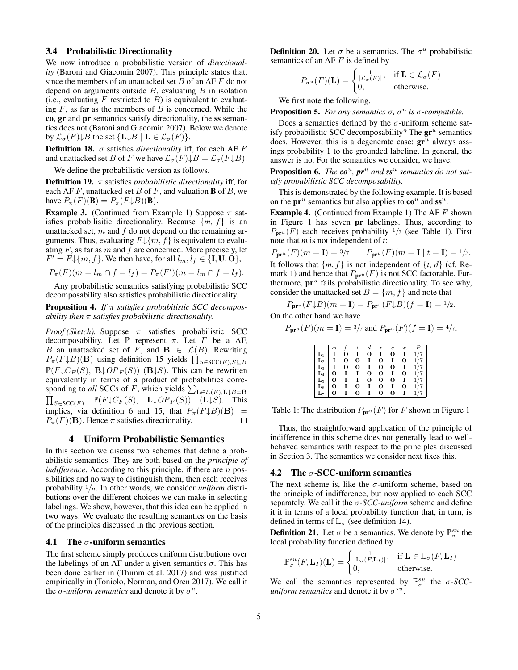#### 3.4 Probabilistic Directionality

We now introduce a probabilistic version of *directionality* (Baroni and Giacomin 2007). This principle states that, since the members of an unattacked set  $B$  of an AF  $F$  do not depend on arguments outside  $B$ , evaluating  $B$  in isolation (i.e., evaluating F restricted to B) is equivalent to evaluating  $F$ , as far as the members of  $B$  is concerned. While the co, gr and pr semantics satisfy directionality, the ss semantics does not (Baroni and Giacomin 2007). Below we denote by  $\mathcal{L}_{\sigma}(F) \downarrow B$  the set  $\{L \downarrow B \mid L \in \mathcal{L}_{\sigma}(F)\}.$ 

**Definition 18.**  $\sigma$  satisfies *directionality* iff, for each AF  $F$ and unattacked set B of F we have  $\mathcal{L}_{\sigma}(F) \downarrow B = \mathcal{L}_{\sigma}(F \downarrow B)$ .

We define the probabilistic version as follows.

**Definition 19.**  $\pi$  satisfies *probabilistic directionality* iff, for each AF F, unattacked set B of F, and valuation **B** of B, we have  $P_{\pi}(F)(\mathbf{B}) = P_{\pi}(F \downarrow B)(\mathbf{B}).$ 

**Example 3.** (Continued from Example 1) Suppose  $\pi$  satisfies probabilisitic directionality. Because  $\{m, f\}$  is an unattacked set,  $m$  and  $f$  do not depend on the remaining arguments. Thus, evaluating  $F\downarrow\{m, f\}$  is equivalent to evaluating  $F$ , as far as  $m$  and  $f$  are concerned. More precisely, let  $F' = F \downarrow \{m, f\}$ . We then have, for all  $l_m, l_f \in \{I, U, O\}$ ,

$$
P_{\pi}(F)(m = l_m \cap f = l_f) = P_{\pi}(F')(m = l_m \cap f = l_f).
$$

Any probabilistic semantics satisfying probabilistic SCC decomposability also satisfies probabilistic directionality.

Proposition 4. *If* π *satisfies probabilistic SCC decomposability then* π *satisfies probabilistic directionality.*

*Proof (Sketch).* Suppose  $\pi$  satisfies probabilistic SCC decomposability. Let  $\mathbb P$  represent  $\pi$ . Let  $F$  be a AF, B an unattacked set of F, and  $\mathbf{B} \in \mathcal{L}(B)$ . Rewriting  $P_{\pi}(F \downarrow B)(\mathbf{B})$  using definition 15 yields  $\prod_{S \in \text{SCC}(F), S \subseteq B}$  $\mathbb{P}(F\downarrow C_F(S), \mathbf{B}\downarrow OP_F(S))$  (**B** $\downarrow$ *S*). This can be rewritten equivalently in terms of a product of probabilities corresponding to *all* SCCs of F, which yields  $\sum_{\mathbf{L}\in\mathcal{L}(F),\mathbf{L}\downarrow B=\mathbf{B}}$  $\prod_{S\in {\operatorname{SCC}}(F)} \mathbb{P}(F {\downarrow} C_F(S), \mathbf{L}{\downarrow} OP_F(S))$  (L $\downarrow S$ ). This implies, via definition 6 and 15, that  $P_{\pi}(F \downarrow B)(B)$  =  $P_{\pi}(F)(\mathbf{B})$ . Hence  $\pi$  satisfies directionality. П

## 4 Uniform Probabilistic Semantics

In this section we discuss two schemes that define a probabilistic semantics. They are both based on the *principle of indifference*. According to this principle, if there are *n* possibilities and no way to distinguish them, then each receives probability <sup>1</sup>/n. In other words, we consider *uniform* distributions over the different choices we can make in selecting labelings. We show, however, that this idea can be applied in two ways. We evaluate the resulting semantics on the basis of the principles discussed in the previous section.

#### 4.1 The  $\sigma$ -uniform semantics

The first scheme simply produces uniform distributions over the labelings of an AF under a given semantics  $\sigma$ . This has been done earlier in (Thimm et al. 2017) and was justified empirically in (Toniolo, Norman, and Oren 2017). We call it the  $\sigma$ -uniform semantics and denote it by  $\sigma^u$ .

**Definition 20.** Let  $\sigma$  be a semantics. The  $\sigma^u$  probabilistic semantics of an AF $F$  is defined by

$$
P_{\sigma^u}(F)(\mathbf{L}) = \begin{cases} \frac{1}{|\mathcal{L}_{\sigma}(F)|}, & \text{if } \mathbf{L} \in \mathcal{L}_{\sigma}(F) \\ 0, & \text{otherwise.} \end{cases}
$$

We first note the following.

**Proposition 5.** For any semantics  $\sigma$ ,  $\sigma^u$  is  $\sigma$ -compatible.

Does a semantics defined by the  $\sigma$ -uniform scheme satisfy probabilistic SCC decomposability? The  $gr^u$  semantics does. However, this is a degenerate case:  $gr^u$  always assings probability 1 to the grounded labeling. In general, the answer is no. For the semantics we consider, we have:

Proposition 6. *The*  $\mathbf{co}^u$ ,  $\mathbf{pr}^u$  and  $\mathbf{ss}^u$  semantics do not sat*isfy probabilistic SCC decomposability.*

This is demonstrated by the following example. It is based on the  $\mathbf{pr}^u$  semantics but also applies to  $\mathbf{co}^u$  and  $\mathbf{ss}^u$ .

**Example 4.** (Continued from Example 1) The AF  $F$  shown in Figure 1 has seven pr labelings. Thus, according to  $P_{\mathbf{pr}^u}(F)$  each receives probability  $1/7$  (see Table 1). First note that *m* is not independent of *t*:

$$
P_{\mathbf{p}r^u}(F)(m = \mathbf{I}) = \frac{3}{7}
$$
  $P_{\mathbf{p}r^u}(F)(m = \mathbf{I} \mid t = \mathbf{I}) = \frac{1}{3}$ .  
It follows that  $\{m, f\}$  is not independent of  $\{t, d\}$  (cf. Remark 1) and hence that  $P_{\mathbf{p}r^u}(F)$  is not SCC factorable. Furthermore,  $\mathbf{p}r^u$  fails probabilistic directionality. To see why, consider the unattacked set  $B = \{m, f\}$  and note that

 $P_{\mathbf{pr}^u}(F \mathord{\downarrow} B)(m=\mathbf{I}) = P_{\mathbf{pr}^u}(F \mathord{\downarrow} B)(f=\mathbf{I}) = \mathbf{1}/\mathbf{2}.$ 

On the other hand we have

$$
P_{\mathbf{pr}^u}(F)(m = \mathbf{I}) = \frac{3}{7} \text{ and } P_{\mathbf{pr}^u}(F)(f = \mathbf{I}) = \frac{4}{7}.
$$

|                | m        |   |   |             | r | $\overline{c}$ | w |  |
|----------------|----------|---|---|-------------|---|----------------|---|--|
|                |          |   |   | $\mathbf o$ |   |                |   |  |
| L,             |          | О | О | 1           | O |                | О |  |
| $\mathbf{L}_3$ |          | О | О | I           | O | О              |   |  |
| $\mathbf{L}_4$ | O        |   | 1 | $\bf{o}$    | 0 |                | 0 |  |
| $\mathbf{L}_5$ | о        |   | 1 | O           | O | O              |   |  |
| $\mathbf{L}_6$ | O        |   | О | 1           | O |                | 0 |  |
|                | $\Omega$ |   | 0 |             | O | 0              |   |  |

Table 1: The distribution  $P_{\mathbf{pr}^u}(F)$  for F shown in Figure 1

Thus, the straightforward application of the principle of indifference in this scheme does not generally lead to wellbehaved semantics with respect to the principles discussed in Section 3. The semantics we consider next fixes this.

#### 4.2 The  $\sigma$ -SCC-uniform semantics

The next scheme is, like the  $\sigma$ -uniform scheme, based on the principle of indifference, but now applied to each SCC separately. We call it the σ*-SCC-uniform* scheme and define it it in terms of a local probability function that, in turn, is defined in terms of  $\mathbb{L}_{\sigma}$  (see definition 14).

**Definition 21.** Let  $\sigma$  be a semantics. We denote by  $\mathbb{P}^{su}_{\sigma}$  the local probability function defined by

$$
\mathbb{P}^{su}_{\sigma}(F, \mathbf{L}_I)(\mathbf{L}) = \begin{cases} \frac{1}{|\mathbb{L}_{\sigma}(F, \mathbf{L}_I)|}, & \text{if } \mathbf{L} \in \mathbb{L}_{\sigma}(F, \mathbf{L}_I) \\ 0, & \text{otherwise.} \end{cases}
$$

We call the semantics represented by  $\mathbb{P}^{su}_{\sigma}$  the  $\sigma$ -*SCCuniform semantics* and denote it by  $\sigma^{su}$ .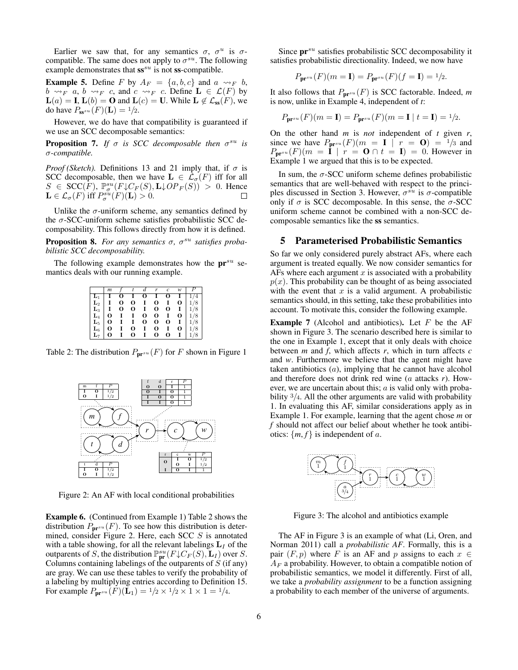Earlier we saw that, for any semantics  $\sigma$ ,  $\sigma^u$  is  $\sigma$ compatible. The same does not apply to  $\sigma^{su}$ . The following example demonstrates that  $ss^{su}$  is not  $ss$ -compatible.

**Example 5.** Define F by  $A_F = \{a, b, c\}$  and  $a \rightsquigarrow_F b$ ,  $b \rightsquigarrow_F a, b \rightsquigarrow_F c$ , and  $c \rightsquigarrow_F c$ . Define  $\mathbf{L} \in \mathcal{L}(F)$  by  $\mathbf{L}(a) = \mathbf{I}, \mathbf{L}(b) = \mathbf{O}$  and  $\mathbf{L}(c) = \mathbf{U}$ . While  $\mathbf{L} \notin \mathcal{L}_{ss}(F)$ , we do have  $P_{\mathbf{s} s^{su}}(F)(\mathbf{L}) = 1/2$ .

However, we do have that compatibility is guaranteed if we use an SCC decomposable semantics:

**Proposition 7.** If  $\sigma$  is SCC decomposable then  $\sigma^{su}$  is σ*-compatible.*

*Proof (Sketch).* Definitions 13 and 21 imply that, if  $\sigma$  is SCC decomposable, then we have  $\mathbf{L} \in \mathcal{L}_{\sigma}(F)$  iff for all  $S \in \text{SCC}(F)$ ,  $\mathbb{P}_{\sigma}^{su}(F \downarrow C_F(S), \mathbf{L} \downarrow OP_F(S)) > 0$ . Hence  $\mathbf{L} \in \mathcal{L}_{\sigma}(F)$  iff  $P_{\sigma}^{su}(F)(\mathbf{L}) > 0$ .

Unlike the  $\sigma$ -uniform scheme, any semantics defined by the  $\sigma$ -SCC-uniform scheme satisfies probabilistic SCC decomposability. This follows directly from how it is defined.

**Proposition 8.** For any semantics σ, σ<sup>su</sup> satisfies proba*bilistic SCC decomposability.*

The following example demonstrates how the  $pr^{su}$  semantics deals with our running example.

|                                                                                                                                      | m            | $\mathcal{F}$ | $\mathfrak{r}$ | $\boldsymbol{d}$ | $\mathbf{r}$ | $\mathfrak{c}$ | w | $\boldsymbol{P}$                                                                                                                                                                                                      |
|--------------------------------------------------------------------------------------------------------------------------------------|--------------|---------------|----------------|------------------|--------------|----------------|---|-----------------------------------------------------------------------------------------------------------------------------------------------------------------------------------------------------------------------|
|                                                                                                                                      |              | о             | $\mathbf{I}$   | 0                | $\bf{I}$     | 0              |   |                                                                                                                                                                                                                       |
| $\begin{array}{ c c } \hline \textbf{L}_1 & \textbf{I} \ \textbf{L}_2 & \textbf{I} \ \textbf{L}_3 & \textbf{I} \ \hline \end{array}$ |              | 0             | 0              | $\bf{I}$         | 0            | $\bf{I}$       |   | $\begin{array}{c c}\n\textbf{I} & 1/4 \\ \textbf{O} & 1/8 \\ \textbf{I} & 1/8 \\ \textbf{O} & 1/8 \\ \textbf{I} & 1/8 \\ \textbf{O} & 1/8 \\ \textbf{O} & 1/8 \\ \textbf{I} & 1/8 \\ \textbf{I} & 1/8 \\ \end{array}$ |
|                                                                                                                                      |              | $\bf{o}$      | 0              | $\bf{I}$         | 0            | 0              |   |                                                                                                                                                                                                                       |
| $\mathbf{L}_4$                                                                                                                       | $\mathbf{O}$ | $\mathbf{I}$  | $\bf{I}$       | O                | 0            | $\bf{I}$       |   |                                                                                                                                                                                                                       |
| $\mathbf{L}_5$                                                                                                                       | 0            | $\mathbf{I}$  | $\mathbf{I}$   | O                | 0            | 0              |   |                                                                                                                                                                                                                       |
| $\mathbf{L}_6$                                                                                                                       | 0            | $\mathbf{I}$  | 0              | $\mathbf{I}$     | 0            | $\mathbf{I}$   |   |                                                                                                                                                                                                                       |
|                                                                                                                                      | 0            |               | 0              | 1                | O            | 0              |   | 1/8                                                                                                                                                                                                                   |

Table 2: The distribution  $P_{\mathbf{pr}^{su}}(F)$  for F shown in Figure 1



Figure 2: An AF with local conditional probabilities

Example 6. (Continued from Example 1) Table 2 shows the distribution  $P_{\mathbf{pr}^{su}}(F)$ . To see how this distribution is determined, consider Figure 2. Here, each SCC S is annotated with a table showing, for all the relevant labelings  $L_I$  of the outparents of S, the distribution  $\mathbb{P}^{su}_{\text{pr}}(F\downarrow C_F(S), \mathbf{L}_I)$  over S. Columns containing labelings of the outparents of  $S$  (if any) are gray. We can use these tables to verify the probability of a labeling by multiplying entries according to Definition 15. For example  $P_{\mathbf{pr}^{su}}(F)(\mathbf{L}_1) = 1/2 \times 1/2 \times 1 \times 1 = 1/4$ .

Since  $pr^{su}$  satisfies probabilistic SCC decomposability it satisfies probabilistic directionality. Indeed, we now have

$$
P_{\mathbf{pr}^{su}}(F)(m=I) = P_{\mathbf{pr}^{su}}(F)(f=I) = \frac{1}{2}.
$$

It also follows that  $P_{pr^{su}}(F)$  is SCC factorable. Indeed, m is now, unlike in Example 4, independent of *t*:

$$
P_{\mathbf{pr}^{su}}(F)(m = \mathbf{I}) = P_{\mathbf{pr}^{su}}(F)(m = \mathbf{I} \mid t = \mathbf{I}) = \frac{1}{2}.
$$

On the other hand *m* is *not* independent of *t* given *r*, since we have  $P_{\mathbf{pr}^{su}}(F)(m = \mathbf{I} \mid r = \mathbf{O}) = \frac{1}{3}$  and  $P_{\mathbf{pr}^{su}}(F)(m = I \mid r = \mathbf{0} \cap t = I) = 0$ . However in Example 1 we argued that this is to be expected.

In sum, the  $\sigma$ -SCC uniform scheme defines probabilistic semantics that are well-behaved with respect to the principles discussed in Section 3. However,  $\sigma^{su}$  is  $\sigma$ -compatible only if  $\sigma$  is SCC decomposable. In this sense, the  $\sigma$ -SCC uniform scheme cannot be combined with a non-SCC decomposable semantics like the ss semantics.

# 5 Parameterised Probabilistic Semantics

So far we only considered purely abstract AFs, where each argument is treated equally. We now consider semantics for AFs where each argument  $x$  is associated with a probability  $p(x)$ . This probability can be thought of as being associated with the event that  $x$  is a valid argument. A probabilistic semantics should, in this setting, take these probabilities into account. To motivate this, consider the following example.

**Example 7** (Alcohol and antibiotics). Let  $F$  be the AF shown in Figure 3. The scenario described here is similar to the one in Example 1, except that it only deals with choice between *m* and *f*, which affects *r*, which in turn affects *c* and *w*. Furthermore we believe that the agent might have taken antibiotics (a), implying that he cannot have alcohol and therefore does not drink red wine (a attacks *r*). However, we are uncertain about this;  $a$  is valid only with probability  $\frac{3}{4}$ . All the other arguments are valid with probability 1. In evaluating this AF, similar considerations apply as in Example 1. For example, learning that the agent chose *m* or *f* should not affect our belief about whether he took antibiotics:  $\{m, f\}$  is independent of a.



Figure 3: The alcohol and antibiotics example

The AF in Figure 3 is an example of what (Li, Oren, and Norman 2011) call a *probabilistic AF*. Formally, this is a pair  $(F, p)$  where F is an AF and p assigns to each  $x \in$  $A_F$  a probability. However, to obtain a compatible notion of probabilistic semantics, we model it differently. First of all, we take a *probability assignment* to be a function assigning a probability to each member of the universe of arguments.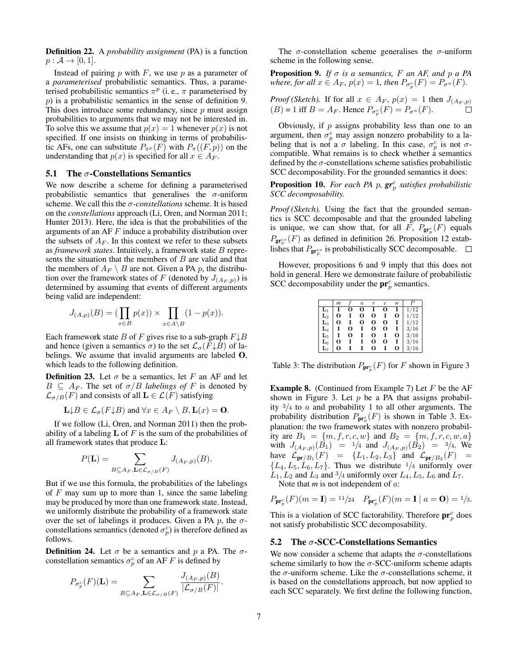Definition 22. A *probability assignment* (PA) is a function  $p : \mathcal{A} \rightarrow [0,1].$ 

Instead of pairing  $p$  with  $F$ , we use  $p$  as a parameter of a *parameterised* probabilistic semantics. Thus, a parameterised probabilistic semantics  $\pi^p$  (i.e.,  $\pi$  parameterised by p) is a probabilistic semantics in the sense of definition 9. This does introduce some redundancy, since  $p$  must assign probabilities to arguments that we may not be interested in. To solve this we assume that  $p(x) = 1$  whenever  $p(x)$  is not specified. If one insists on thinking in terms of probabilistic AFs, one can substitute  $P_{\pi^p}(F)$  with  $P_{\pi}((F, p))$  on the understanding that  $p(x)$  is specified for all  $x \in A_F$ .

#### **5.1** The  $\sigma$ -Constellations Semantics

We now describe a scheme for defining a parameterised probabilistic semantics that generalises the  $\sigma$ -uniform scheme. We call this the σ*-constellations* scheme. It is based on the *constellations* approach (Li, Oren, and Norman 2011; Hunter 2013). Here, the idea is that the probabilities of the arguments of an AF F induce a probability distribution over the subsets of  $A_F$ . In this context we refer to these subsets as *framework states*. Intuitively, a framework state B represents the situation that the members of  $B$  are valid and that the members of  $A_F \setminus B$  are not. Given a PA p, the distribution over the framework states of F (denoted by  $J_{(A_F,p)})$  is determined by assuming that events of different arguments being valid are independent:

$$
J_{(A,p)}(B) = (\prod_{x \in B} p(x)) \times \prod_{x \in A \setminus B} (1 - p(x)).
$$

Each framework state B of F gives rise to a sub-graph  $F \downarrow B$ and hence (given a semantics  $\sigma$ ) to the set  $\mathcal{L}_{\sigma}(F\downarrow B)$  of labelings. We assume that invalid arguments are labeled O, which leads to the following definition.

**Definition 23.** Let  $\sigma$  be a semantics, let F an AF and let  $B \subseteq A_F$ . The set of  $\sigma/B$  *labelings of* F is denoted by  $\mathcal{L}_{\sigma/B}(F)$  and consists of all  $\mathbf{L} \in \mathcal{L}(F)$  satisfying

$$
\mathbf{L} \downarrow B \in \mathcal{L}_{\sigma}(F \downarrow B) \text{ and } \forall x \in A_F \setminus B, \mathbf{L}(x) = \mathbf{0}.
$$

If we follow (Li, Oren, and Norman 2011) then the probability of a labeling  $L$  of F is the sum of the probabilities of all framework states that produce L:

$$
P(\mathbf{L}) = \sum_{B \subseteq A_F, \mathbf{L} \in \mathcal{L}_{\sigma/B}(F)} J_{(A_F, p)}(B).
$$

But if we use this formula, the probabilities of the labelings of  $F$  may sum up to more than 1, since the same labeling may be produced by more than one framework state. Instead, we uniformly distribute the probability of a framework state over the set of labelings it produces. Given a PA  $p$ , the  $\sigma$ constellations semantics (denoted  $\sigma_p^c$ ) is therefore defined as follows.

**Definition 24.** Let  $\sigma$  be a semantics and p a PA. The  $\sigma$ constellation semantics  $\sigma_p^c$  of an AF F is defined by

$$
P_{\sigma_p^c}(F)(\mathbf{L}) = \sum_{B \subseteq A_F, \mathbf{L} \in \mathcal{L}_{\sigma/B}(F)} \frac{J_{(A_F, p)}(B)}{|\mathcal{L}_{\sigma/B}(F)|}.
$$

The  $\sigma$ -constellation scheme generalises the  $\sigma$ -uniform scheme in the following sense.

**Proposition 9.** *If*  $\sigma$  *is a semantics,*  $F$  *an AF, and*  $p$  *a PA where, for all*  $x \in A_F$ ,  $p(x) = 1$ , then  $P_{\sigma_p^c}(F) = P_{\sigma^u}(F)$ .

*Proof (Sketch).* If for all 
$$
x \in A_F
$$
,  $p(x) = 1$  then  $J_{(A_F, p)}$   
(*B*) = 1 iff  $B = A_F$ . Hence  $P_{\sigma_p^c}(F) = P_{\sigma_u}(F)$ .

Obviously, if  $p$  assigns probability less than one to an argument, then  $\sigma_p^c$  may assign nonzero probability to a labeling that is not a  $\sigma$  labeling. In this case,  $\sigma_p^c$  is not  $\sigma$ compatible. What remains is to check whether a semantics defined by the  $\sigma$ -constellations scheme satisfies probabilistic SCC decomposability. For the grounded semantics it does:

**Proposition 10.** For each PA p,  $gr_p^c$  satisfies probabilistic *SCC decomposability.*

*Proof (Sketch).* Using the fact that the grounded semantics is SCC decomposable and that the grounded labeling is unique, we can show that, for all F,  $P_{gr_p^c}(F)$  equals  $P_{\mathbf{gr}^{cs}_{p}}(F)$  as defined in definition 26. Proposition 12 establishes that  $P_{\mathbf{gr}^{cs}_p}$  is probabilistically SCC decomposable.

However, propositions 6 and 9 imply that this does not hold in general. Here we demonstrate failure of probabilistic SCC decomposability under the  $\mathbf{pr}_p^c$  semantics.

|                | m |   | $\boldsymbol{a}$ | r | c | w |      |
|----------------|---|---|------------------|---|---|---|------|
| L1             |   | О | о                |   | О |   | '12  |
| $\mathbf{L}_2$ | О |   | О                | O |   | О | 1/12 |
| $\mathbf{L}_3$ | О |   | О                | 0 | О |   | 1/12 |
| $\mathbf{L}_4$ |   | О |                  | 0 | О |   | 3/16 |
| $\mathbf{L}_5$ |   | О |                  | 0 |   | О | 3/16 |
| $\mathbf{L}_6$ | О |   |                  | O | О |   | 3/16 |
| $\mathbf{L}_7$ | 0 |   |                  | 0 |   | O | 3/16 |

Table 3: The distribution  $P_{\text{pr}_p^c}(F)$  for F shown in Figure 3

**Example 8.** (Continued from Example 7) Let  $F$  be the AF shown in Figure 3. Let  $p$  be a PA that assigns probability  $\frac{3}{4}$  to a and probability 1 to all other arguments. The probability distribution  $P_{\mathbf{pr}_p^c}(F)$  is shown in Table 3. Explanation: the two framework states with nonzero probability are  $B_1 = \{m, f, r, c, w\}$  and  $B_2 = \{m, f, r, c, w, a\}$ with  $J_{(A_F, p)}(B_1) = 1/4$  and  $J_{(A_F, p)}(B_2) = 3/4$ . We have  $\mathcal{L}_{\text{pr}/B_1}(F) = \{L_1, L_2, L_3\}$  and  $\mathcal{L}_{\text{pr}/B_2}(F) =$  ${L_4, L_5, L_6, L_7}$ . Thus we distribute  $\frac{1}{4}$  uniformly over  $L_1, L_2$  and  $L_3$  and  $\frac{3}{4}$  uniformly over  $L_4, L_5, L_6$  and  $L_7$ .

Note that *m* is not independent of *a*:

$$
P_{\mathbf{pr}_p^c}(F)(m = \mathbf{I}) = \frac{11}{24}
$$
  $P_{\mathbf{pr}_p^c}(F)(m = \mathbf{I} \mid a = \mathbf{O}) = \frac{1}{3}$ .

This is a violation of SCC factorability. Therefore  $\mathbf{pr}_p^c$  does not satisfy probabilistic SCC decomposability.

#### 5.2 The  $\sigma$ -SCC-Constellations Semantics

We now consider a scheme that adapts the  $\sigma$ -constellations scheme similarly to how the  $\sigma$ -SCC-uniform scheme adapts the  $\sigma$ -uniform scheme. Like the  $\sigma$ -constellations scheme, it is based on the constellations approach, but now applied to each SCC separately. We first define the following function,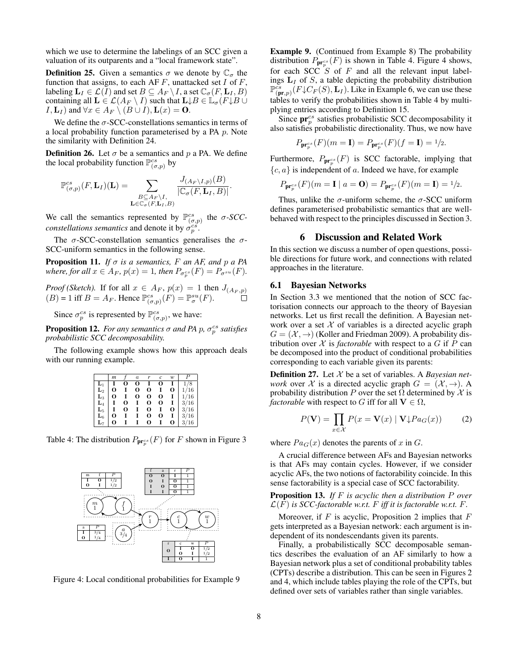which we use to determine the labelings of an SCC given a valuation of its outparents and a "local framework state".

**Definition 25.** Given a semantics  $\sigma$  we denote by  $\mathbb{C}_{\sigma}$  the function that assigns, to each AF  $F$ , unattacked set  $I$  of  $F$ , labeling  $\mathbf{L}_I \in \mathcal{L}(I)$  and set  $B \subseteq A_F \setminus I$ , a set  $\mathbb{C}_{\sigma}(F, \mathbf{L}_I, B)$ containing all  $\mathbf{L} \in \mathcal{L}(A_F \setminus I)$  such that  $\mathbf{L} \downarrow B \in \mathbb{L}_{\sigma}(F \downarrow B \cup I)$  $I, L_I$ ) and  $\forall x \in A_F \setminus (B \cup I), L(x) = 0$ .

We define the  $\sigma$ -SCC-constellations semantics in terms of a local probability function parameterised by a PA p. Note the similarity with Definition 24.

**Definition 26.** Let  $\sigma$  be a semantics and p a PA. We define the local probability function  $\mathbb{P}_{(\sigma,p)}^{cs}$  by

$$
\mathbb{P}_{(\sigma,p)}^{cs}(F,\mathbf{L}_I)(\mathbf{L})=\sum_{\substack{B\subseteq A_F\setminus I,\\ \mathbf{L}\in\mathbb{C}_{\sigma}(F,\mathbf{L}_I,B)}}\frac{J_{(A_F\setminus I,p)}(B)}{|\mathbb{C}_{\sigma}(F,\mathbf{L}_I,B)|}.
$$

We call the semantics represented by  $\mathbb{P}_{(\sigma,p)}^{cs}$  the  $\sigma$ -*SCCconstellations semantics* and denote it by  $\sigma_p^{c\hat{s}}$ .

The  $\sigma$ -SCC-constellation semantics generalises the  $\sigma$ -SCC-uniform semantics in the following sense.

**Proposition 11.** *If*  $\sigma$  *is a semantics, F an AF, and*  $p$  *a PA* where, for all  $x \in A_F$ ,  $p(x) = 1$ , then  $P_{\sigma_p^{cs}}(F) = P_{\sigma^{su}}(F)$ .

*Proof (Sketch).* If for all  $x \in A_F$ ,  $p(x) = 1$  then  $J_{(A_F, p)}$  $(B) = 1$  iff  $B = A_F$ . Hence  $\mathbb{P}^{\text{cs}}_{(\sigma,p)}(F) = \mathbb{P}^{\text{su}}_{\sigma}(F)$ .

Since  $\sigma_p^{cs}$  is represented by  $\mathbb{P}_{(\sigma,p)}^{cs}$ , we have:

**Proposition 12.** For any semantics  $\sigma$  and PA  $p$ ,  $\sigma_p^{cs}$  satisfies *probabilistic SCC decomposability.*

The following example shows how this approach deals with our running example.

|                | m |   | $\overline{a}$ |          |   | w |      |
|----------------|---|---|----------------|----------|---|---|------|
| L۱             |   |   | υ              |          |   |   | 8    |
| $\mathbf{L}_2$ | О |   | о              | о        |   | O | 1/16 |
| $\mathbf{L}_3$ | О |   | О              | о        | о |   | 1/16 |
| $\mathbf{L}_4$ |   | О |                | о        | О |   | 3/16 |
| $\mathbf{L}_5$ |   | О |                | O        |   | О | 3/16 |
| $\mathbf{L}_6$ | о |   |                | O        | о |   | 3/16 |
| L7             | റ |   |                | $\Omega$ |   | O | '16  |

Table 4: The distribution  $P_{\mathbf{pr}_p^{cs}}(F)$  for F shown in Figure 3



Figure 4: Local conditional probabilities for Example 9

Example 9. (Continued from Example 8) The probability distribution  $P_{\mathbf{pr}_p^{cs}}(F)$  is shown in Table 4. Figure 4 shows, for each SCC  $S$  of  $F$  and all the relevant input labelings  $L_I$  of  $S$ , a table depicting the probability distribution  $\mathbb{P}_{(\textbf{pr},p)}^{\text{cs}}(F \downarrow C_F(S), \textbf{L}_I)$ . Like in Example 6, we can use these tables to verify the probabilities shown in Table 4 by multiplying entries according to Definition 15.

Since  $pr_p^{cs}$  satisfies probabilistic SCC decomposability it also satisfies probabilistic directionality. Thus, we now have

$$
P_{\mathbf{pr}_p^{cs}}(F)(m=1) = P_{\mathbf{pr}_p^{cs}}(F)(f=1) = \frac{1}{2}.
$$

Furthermore,  $P_{\mathbf{pr}_p^{cs}}(F)$  is SCC factorable, implying that  ${c, a}$  is independent of a. Indeed we have, for example

$$
P_{\mathbf{pr}_p^{cs}}(F)(m=\mathbf{I} \mid a=\mathbf{O}) = P_{\mathbf{pr}_p^{cs}}(F)(m=\mathbf{I}) = \frac{1}{2}.
$$

Thus, unlike the  $\sigma$ -uniform scheme, the  $\sigma$ -SCC uniform defines parameterised probabilistic semantics that are wellbehaved with respect to the principles discussed in Section 3.

# 6 Discussion and Related Work

In this section we discuss a number of open questions, possible directions for future work, and connections with related approaches in the literature.

### 6.1 Bayesian Networks

In Section 3.3 we mentioned that the notion of SCC factorisation connects our approach to the theory of Bayesian networks. Let us first recall the definition. A Bayesian network over a set  $X$  of variables is a directed acyclic graph  $G = (\mathcal{X}, \rightarrow)$  (Koller and Friedman 2009). A probability distribution over  $X$  is *factorable* with respect to a  $G$  if  $P$  can be decomposed into the product of conditional probabilities corresponding to each variable given its parents:

Definition 27. Let X be a set of variables. A *Bayesian network* over X is a directed acyclic graph  $G = (\mathcal{X}, \rightarrow)$ . A probability distribution P over the set  $\Omega$  determined by X is *factorable* with respect to G iff for all  $V \in \Omega$ ,

$$
P(\mathbf{V}) = \prod_{x \in \mathcal{X}} P(x = \mathbf{V}(x) | \mathbf{V} \downarrow Pa_G(x)) \tag{2}
$$

where  $Pa<sub>G</sub>(x)$  denotes the parents of x in G.

A crucial difference between AFs and Bayesian networks is that AFs may contain cycles. However, if we consider acyclic AFs, the two notions of factorability coincide. In this sense factorability is a special case of SCC factorability.

Proposition 13. *If* F *is acyclic then a distribution* P *over*  $\mathcal{L}(F)$  *is SCC-factorable w.r.t.* F *iff it is factorable w.r.t.* F.

Moreover, if  $F$  is acyclic, Proposition 2 implies that  $F$ gets interpreted as a Bayesian network: each argument is independent of its nondescendants given its parents.

Finally, a probabilistically SCC decomposable semantics describes the evaluation of an AF similarly to how a Bayesian network plus a set of conditional probability tables (CPTs) describe a distribution. This can be seen in Figures 2 and 4, which include tables playing the role of the CPTs, but defined over sets of variables rather than single variables.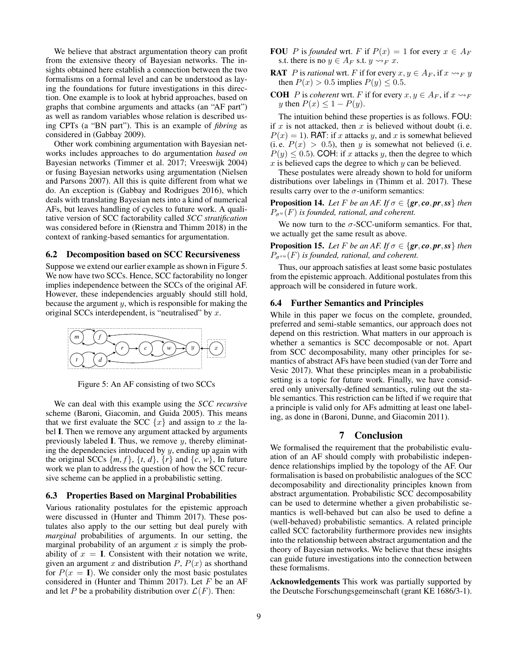We believe that abstract argumentation theory can profit from the extensive theory of Bayesian networks. The insights obtained here establish a connection between the two formalisms on a formal level and can be understood as laying the foundations for future investigations in this direction. One example is to look at hybrid approaches, based on graphs that combine arguments and attacks (an "AF part") as well as random variables whose relation is described using CPTs (a "BN part"). This is an example of *fibring* as considered in (Gabbay 2009).

Other work combining argumentation with Bayesian networks includes approaches to do argumentation *based on* Bayesian networks (Timmer et al. 2017; Vreeswijk 2004) or fusing Bayesian networks using argumentation (Nielsen and Parsons 2007). All this is quite different from what we do. An exception is (Gabbay and Rodrigues 2016), which deals with translating Bayesian nets into a kind of numerical AFs, but leaves handling of cycles to future work. A qualitative version of SCC factorability called *SCC stratification* was considered before in (Rienstra and Thimm 2018) in the context of ranking-based semantics for argumentation.

### 6.2 Decomposition based on SCC Recursiveness

Suppose we extend our earlier example as shown in Figure 5. We now have two SCCs. Hence, SCC factorability no longer implies independence between the SCCs of the original AF. However, these independencies arguably should still hold, because the argument  $y$ , which is responsible for making the original SCCs interdependent, is "neutralised" by x.



Figure 5: An AF consisting of two SCCs

We can deal with this example using the *SCC recursive* scheme (Baroni, Giacomin, and Guida 2005). This means that we first evaluate the SCC  $\{x\}$  and assign to x the label I. Then we remove any argument attacked by arguments previously labeled I. Thus, we remove  $y$ , thereby eliminating the dependencies introduced by  $y$ , ending up again with the original SCCs  $\{m, f\}$ ,  $\{t, d\}$ ,  $\{r\}$  and  $\{c, w\}$ , In future work we plan to address the question of how the SCC recursive scheme can be applied in a probabilistic setting.

# 6.3 Properties Based on Marginal Probabilities

Various rationality postulates for the epistemic approach were discussed in (Hunter and Thimm 2017). These postulates also apply to the our setting but deal purely with *marginal* probabilities of arguments. In our setting, the marginal probability of an argument  $x$  is simply the probability of  $x = I$ . Consistent with their notation we write, given an argument x and distribution  $P$ ,  $P(x)$  as shorthand for  $P(x = I)$ . We consider only the most basic postulates considered in (Hunter and Thimm 2017). Let  $F$  be an AF and let P be a probability distribution over  $\mathcal{L}(F)$ . Then:

- **FOU** P is *founded* wrt. F if  $P(x) = 1$  for every  $x \in A_F$ s.t. there is no  $y \in A_F$  s.t.  $y \rightsquigarrow_F x$ .
- **RAT** P is *rational* wrt. F if for every  $x, y \in A_F$ , if  $x \rightarrow_F y$ then  $P(x) > 0.5$  implies  $P(y) \le 0.5$ .
- **COH** P is *coherent* wrt. F if for every  $x, y \in A_F$ , if  $x \rightarrow F$ y then  $P(x) \leq 1 - P(y)$ .

The intuition behind these properties is as follows. FOU: if  $x$  is not attacked, then  $x$  is believed without doubt (i.e.  $P(x) = 1$ ). RAT: if x attacks y, and x is somewhat believed (i.e.  $P(x) > 0.5$ ), then y is somewhat not believed (i.e.  $P(y) \le 0.5$ . COH: if x attacks y, then the degree to which  $x$  is believed caps the degree to which  $y$  can be believed.

These postulates were already shown to hold for uniform distributions over labelings in (Thimm et al. 2017). These results carry over to the  $\sigma$ -uniform semantics:

**Proposition 14.** *Let* F *be an AF. If*  $\sigma \in \{gr, co, pr, ss\}$  *then*  $P_{\sigma^u}(F)$  *is founded, rational, and coherent.* 

We now turn to the  $\sigma$ -SCC-uniform semantics. For that, we actually get the same result as above.

**Proposition 15.** *Let*  $F$  *be an AF. If*  $\sigma \in \{gr, co, pr, ss\}$  *then*  $P_{\sigma^{su}}(F)$  *is founded, rational, and coherent.* 

Thus, our approach satisfies at least some basic postulates from the epistemic approach. Additional postulates from this approach will be considered in future work.

## 6.4 Further Semantics and Principles

While in this paper we focus on the complete, grounded, preferred and semi-stable semantics, our approach does not depend on this restriction. What matters in our approach is whether a semantics is SCC decomposable or not. Apart from SCC decomposability, many other principles for semantics of abstract AFs have been studied (van der Torre and Vesic 2017). What these principles mean in a probabilistic setting is a topic for future work. Finally, we have considered only universally-defined semantics, ruling out the stable semantics. This restriction can be lifted if we require that a principle is valid only for AFs admitting at least one labeling, as done in (Baroni, Dunne, and Giacomin 2011).

# 7 Conclusion

We formalised the requirement that the probabilistic evaluation of an AF should comply with probabilistic independence relationships implied by the topology of the AF. Our formalisation is based on probabilistic analogues of the SCC decomposability and directionality principles known from abstract argumentation. Probabilistic SCC decomposability can be used to determine whether a given probabilistic semantics is well-behaved but can also be used to define a (well-behaved) probabilistic semantics. A related principle called SCC factorability furthermore provides new insights into the relationship between abstract argumentation and the theory of Bayesian networks. We believe that these insights can guide future investigations into the connection between these formalisms.

Acknowledgements This work was partially supported by the Deutsche Forschungsgemeinschaft (grant KE 1686/3-1).